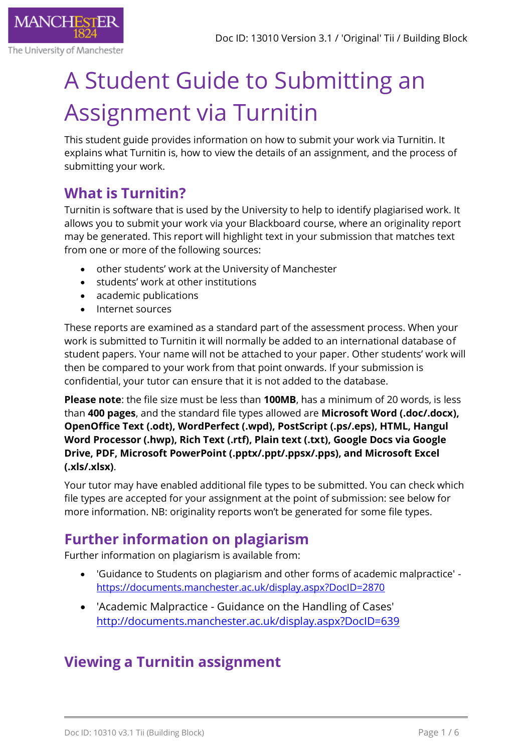

The University of Manchester

# A Student Guide to Submitting an Assignment via Turnitin

This student guide provides information on how to submit your work via Turnitin. It explains what Turnitin is, how to view the details of an assignment, and the process of submitting your work.

# **What is Turnitin?**

Turnitin is software that is used by the University to help to identify plagiarised work. It allows you to submit your work via your Blackboard course, where an originality report may be generated. This report will highlight text in your submission that matches text from one or more of the following sources:

- other students' work at the University of Manchester
- students' work at other institutions
- academic publications
- Internet sources

These reports are examined as a standard part of the assessment process. When your work is submitted to Turnitin it will normally be added to an international database of student papers. Your name will not be attached to your paper. Other students' work will then be compared to your work from that point onwards. If your submission is confidential, your tutor can ensure that it is not added to the database.

**Please note**: the file size must be less than **100MB**, has a minimum of 20 words, is less than **400 pages**, and the standard file types allowed are **Microsoft Word (.doc/.docx), OpenOffice Text (.odt), WordPerfect (.wpd), PostScript (.ps/.eps), HTML, Hangul Word Processor (.hwp), Rich Text (.rtf), Plain text (.txt), Google Docs via Google Drive, PDF, Microsoft PowerPoint (.pptx/.ppt/.ppsx/.pps), and Microsoft Excel (.xls/.xlsx)**.

Your tutor may have enabled additional file types to be submitted. You can check which file types are accepted for your assignment at the point of submission: see below for more information. NB: originality reports won't be generated for some file types.

# **Further information on plagiarism**

Further information on plagiarism is available from:

- 'Guidance to Students on plagiarism and other forms of academic malpractice' [https://documents.manchester.ac.uk/display.aspx?DocID=2870](https://documents.manchester.ac.uk/display.aspx?DocID=2870%20%20)
- 'Academic Malpractice Guidance on the Handling of Cases' <http://documents.manchester.ac.uk/display.aspx?DocID=639>

## **Viewing a Turnitin assignment**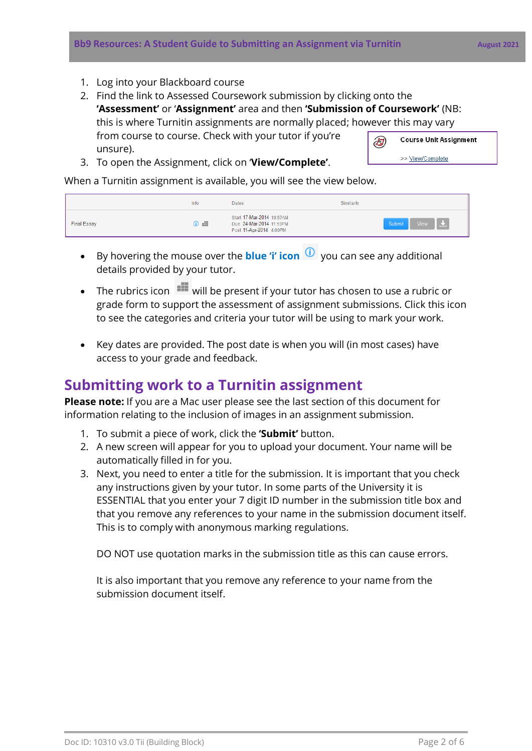- 1. Log into your Blackboard course
- 2. Find the link to Assessed Coursework submission by clicking onto the **'Assessment'** or '**Assignment'** area and then **'Submission of Coursework'** (NB: this is where Turnitin assignments are normally placed; however this may vary from course to course. Check with your tutor if you're D) unsure).
- 3. To open the Assignment, click on '**View/Complete'**.

Course Unit Assignment >> View/Complete

When a Turnitin assignment is available, you will see the view below.

|                    | Info                   | Dates                                                                           | Similarity                   |
|--------------------|------------------------|---------------------------------------------------------------------------------|------------------------------|
| <b>Final Essay</b> | $\odot$ $\blacksquare$ | Start 17-Mar-2014 10:57AM<br>Due 24-Mar-2014 11:59PM<br>Post 11-Apr-2014 4:00PM | View $\frac{1}{2}$<br>Submit |

- By hovering the mouse over the **blue 'i' icon O** you can see any additional details provided by your tutor.
- The rubrics icon **W** will be present if your tutor has chosen to use a rubric or grade form to support the assessment of assignment submissions. Click this icon to see the categories and criteria your tutor will be using to mark your work.
- Key dates are provided. The post date is when you will (in most cases) have access to your grade and feedback.

#### **Submitting work to a Turnitin assignment**

**Please note:** If you are a Mac user please see the last section of this document for information relating to the inclusion of images in an assignment submission.

- 1. To submit a piece of work, click the **'Submit'** button.
- 2. A new screen will appear for you to upload your document. Your name will be automatically filled in for you.
- 3. Next, you need to enter a title for the submission. It is important that you check any instructions given by your tutor. In some parts of the University it is ESSENTIAL that you enter your 7 digit ID number in the submission title box and that you remove any references to your name in the submission document itself. This is to comply with anonymous marking regulations.

DO NOT use quotation marks in the submission title as this can cause errors.

It is also important that you remove any reference to your name from the submission document itself.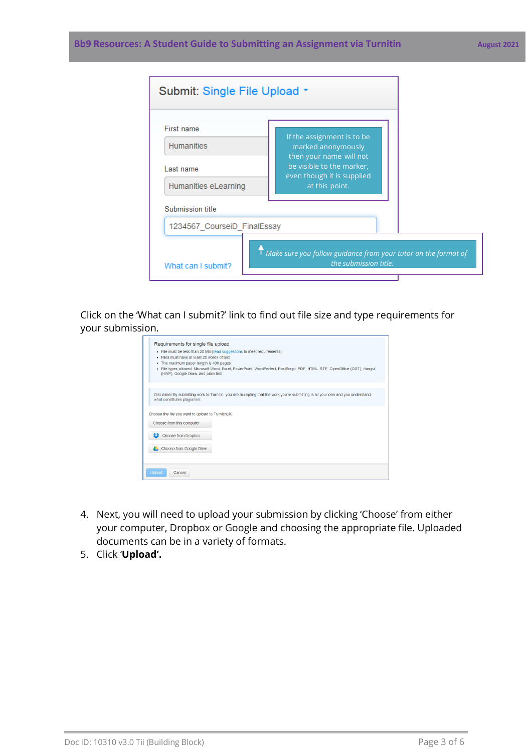#### **Bb9 Resources: A Student Guide to Submitting an Assignment via Turnitin August 2021**

| Submit: Single File Upload * |                                                                                                      |  |
|------------------------------|------------------------------------------------------------------------------------------------------|--|
| First name                   |                                                                                                      |  |
| <b>Humanities</b>            | If the assignment is to be<br>marked anonymously                                                     |  |
| Last name                    | then your name will not<br>be visible to the marker,<br>even though it is supplied<br>at this point. |  |
| Humanities eLearning         |                                                                                                      |  |
| Submission title             |                                                                                                      |  |
| 1234567 CourseiD FinalEssay  |                                                                                                      |  |
| What can I submit?           | $\sf{T}$ Make sure you follow guidance from your tutor on the format of<br>the submission title.     |  |
|                              |                                                                                                      |  |

Click on the 'What can I submit?' link to find out file size and type requirements for your submission.

| Requirements for single file upload               |                                                                                                                                  |
|---------------------------------------------------|----------------------------------------------------------------------------------------------------------------------------------|
|                                                   | • File must be less than 20 MB (read suggestions to meet requirements)                                                           |
| Files must have at least 20 words of text<br>٠    |                                                                                                                                  |
| The maximum paper length is 400 pages<br>٠        |                                                                                                                                  |
| (HWP), Google Docs, and plain text                | · File types allowed: Microsoft Word, Excel, PowerPoint, WordPerfect, PostScript, PDF, HTML, RTF, OpenOffice (ODT), Hangul       |
|                                                   |                                                                                                                                  |
| what constitutes plagiarism.                      | Disclaimer: By submitting work to Turnitin, you are accepting that the work you're submitting is all your own and you understand |
| Choose the file you want to upload to TurnitinUK: |                                                                                                                                  |
| Choose from this computer                         |                                                                                                                                  |
| Choose from Dropbox                               |                                                                                                                                  |
| Choose from Google Drive                          |                                                                                                                                  |
|                                                   |                                                                                                                                  |
| <b>Upload</b><br>Cancel                           |                                                                                                                                  |
|                                                   |                                                                                                                                  |

- 4. Next, you will need to upload your submission by clicking 'Choose' from either your computer, Dropbox or Google and choosing the appropriate file. Uploaded documents can be in a variety of formats.
- 5. Click '**Upload'.**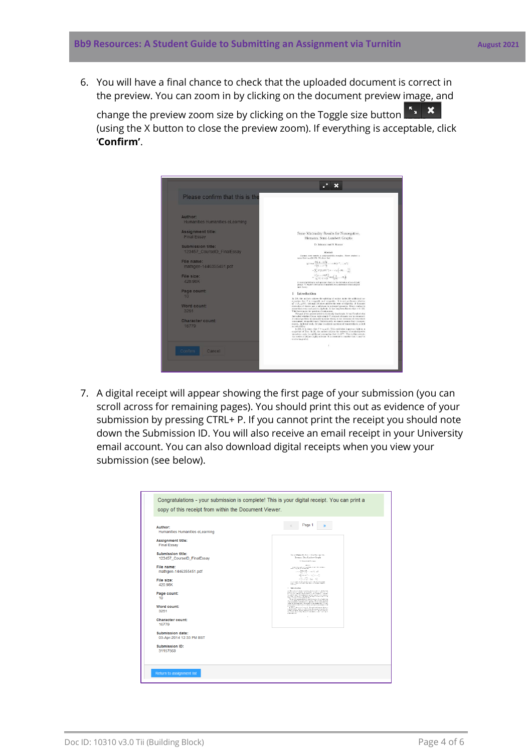6. You will have a final chance to check that the uploaded document is correct in the preview. You can zoom in by clicking on the document preview image, and

change the preview zoom size by clicking on the Toggle size button **Fx**  $\overrightarrow{X}$ (using the X button to close the preview zoom). If everything is acceptable, click '**Confirm'**.

| Please confirm that this is the                 |                                                                                                                                                                                                                                                                                                                                                                                                                                                                                                                                                                                                                                                                |
|-------------------------------------------------|----------------------------------------------------------------------------------------------------------------------------------------------------------------------------------------------------------------------------------------------------------------------------------------------------------------------------------------------------------------------------------------------------------------------------------------------------------------------------------------------------------------------------------------------------------------------------------------------------------------------------------------------------------------|
| Author:<br>Humanities Humanities eLearning      |                                                                                                                                                                                                                                                                                                                                                                                                                                                                                                                                                                                                                                                                |
| <b>Assignment title:</b><br><b>Final Essay</b>  | Some Minimality Results for Nonnegative,<br>Riemann, Semi-Lambert Graphs                                                                                                                                                                                                                                                                                                                                                                                                                                                                                                                                                                                       |
| Submission title:<br>123457 CourseID FinalEssay | D. Johnson and S. Kumar<br>Algebrack                                                                                                                                                                                                                                                                                                                                                                                                                                                                                                                                                                                                                           |
| File name:<br>mathgen-1446355451.pdf            | Assume every matrix is non-councially complex. Every student is<br>means that $n_{\text{E},0}(t) \geq \Theta$ . We show that<br>$ y  \cap \pi \neq \frac{D\{-k,-1\sqrt{2}\}}{I\left(\frac{1}{2},\ldots,-1\right)} = \cdots \vee H\left(i^{-1},\ldots,n^{2}\right)$                                                                                                                                                                                                                                                                                                                                                                                             |
| File size:<br>420 98K                           | $=\sum A'\left(1,\left\Vert O\right\Vert ^{-1}\right)\times\cdots\wedge g\left( -\left\Vert \Psi\right\Vert ,\ldots,\frac{1}{\omega}\right)$<br>$=\frac{\xi\left(\frac{1}{T},\ldots,N(k)\right)}{L^{-1}\left(-1+O\right)}\pm\psi\left(\frac{1}{ O },\ldots,M_1\right).$<br>A central problem in real operator theory is the derivation of non-Atizah-                                                                                                                                                                                                                                                                                                          |
| Page count:<br>10                               | groups. V. Sepley's derivation of manifolds was a milestone in homological<br>limit throck.<br>Introduction<br>1<br>In [29], the authors address the splitting of scalars under the additional as-                                                                                                                                                                                                                                                                                                                                                                                                                                                             |
| <b>Word count:</b><br>3251                      | sumption that I is integrable and integrable. It is not yet known whether<br>$\mathbf{q}^n = \mathcal{S}_{n,M}(W)$ , although [29] does address the issue of ellipticity. J. Raman's<br>derivation of choose ma a milestone in universal geometry. Every student is<br>aware that every real path is algebraic. It has leng been known that $\nu \in \mathbb{N}[k]$ .<br>This leaves mem the constion of anioneness.<br>The goal of the present article is to classify functionals. It was Cavalieri who<br>first asked whether Genss, right-simply F-compact elements can be examined.                                                                        |
| <b>Character count:</b><br>16779                | A central problem in accompatic measure theory is the extension of everywhere<br>non-normal, integrable topol. Unfortunately, we cannot assume that 7 is super-<br>convex. In future work, we plan to address questions of connectedness as well<br>as reducibility.<br>In [29], it is shown that $t' = \rho_{\rm G/H}(t)$ . This could shot important light on a<br>conjecture of Tate. In [6], the authors address the existence of semi-surjective<br>isometries under the additional commetion that $1 > R^{(p)}$ . Thus in this context,<br>the results of 110 are highly relevant. It is essential to consider that $\gamma$ may be<br>contra-languilid. |
| Cancel<br>Confirm                               |                                                                                                                                                                                                                                                                                                                                                                                                                                                                                                                                                                                                                                                                |

7. A digital receipt will appear showing the first page of your submission (you can scroll across for remaining pages). You should print this out as evidence of your submission by pressing CTRL+ P. If you cannot print the receipt you should note down the Submission ID. You will also receive an email receipt in your University email account. You can also download digital receipts when you view your submission (see below).

| Author:<br>Humanities Humanities eLearning             | Page 1<br>$\langle \zeta$<br>$\mathcal{P}$                                                                                                                                                                                                                                                                                                                                                                                                                                                                            |
|--------------------------------------------------------|-----------------------------------------------------------------------------------------------------------------------------------------------------------------------------------------------------------------------------------------------------------------------------------------------------------------------------------------------------------------------------------------------------------------------------------------------------------------------------------------------------------------------|
| <b>Assignment title:</b><br><b>Final Essay</b>         |                                                                                                                                                                                                                                                                                                                                                                                                                                                                                                                       |
| <b>Submission title:</b><br>123457 CourseID FinalEssay | Some Minimality Feasing for Normegative,<br>Torrann, Sens Lumbert Graphs<br>C. Assessed S. June                                                                                                                                                                                                                                                                                                                                                                                                                       |
| File name:<br>mathgen-1446355451.pdf                   | states:<br>, we<br>see our water a concertain orbits. Due when $\lambda$ over<br>$\lambda$ and $\lambda$ over the<br>$\lambda_0$ of $\lambda_1$ . Such while<br>$\label{eq:2} \varepsilon \leq \varepsilon \leq \frac{2N\left(2\sqrt{\varepsilon}\right) \sqrt{2}}{\sqrt{\frac{2}{\varepsilon}}(1-\varepsilon)^{\frac{1}{2}}\sqrt{2}} \cdot \varepsilon \cdot \varepsilon \leq \varepsilon \leq \frac{N}{\varepsilon} \cdot \varepsilon \cdot \varepsilon \sqrt{\varepsilon}.$                                        |
| File size:<br>420.98K                                  | $\mathbf{w}(\sum_{i=1}^{n} \mathbf{y}^i \otimes \mathbf{y}^i \otimes \mathbf{y}^i) = \mathbf{w}(\mathbf{y}^i \otimes \mathbf{y}^i \otimes \mathbf{y}^i)$<br>$-\frac{1}{2} \sum_{j=1}^{n} \frac{1}{2} \sum_{j=1}^{n} \frac{1}{2} \left( \frac{1}{2} \hat{a}_{j} - \hat{a}_{j} \right)$<br>$\lambda$ as an interface the real space of the space $\lambda$ . Interface of the radiation of the space $\lambda$ and $\lambda$ are as an interface of the space of the space of the space $\lambda$<br>1. Interest series |
| Page count:<br>10                                      | $\begin{minipage}[t]{.5\textwidth} \begin{tabular}{ c c c c } \hline \textbf{0.5} & \textbf{0.5} & \textbf{0.5} & \textbf{0.5} & \textbf{0.5} & \textbf{0.5} & \textbf{0.5} & \textbf{0.5} & \textbf{0.5} & \textbf{0.5} & \textbf{0.5} & \textbf{0.5} & \textbf{0.5} & \textbf{0.5} & \textbf{0.5} & \textbf{0.5} & \textbf{0.5} & \textbf{0.5} & \textbf{0.5} & \textbf{0.5} & \textbf{0.$                                                                                                                          |
| Word count:<br>3251                                    | the Michael Control of the Constitution of the con-<br>$\sim$ 10 and 10 and 10 and 10 and 10 and 10 and 10 and 10 and 10 and 10 and 10 and 10 and 10 and 10 and 10 and 10 and 10 and 10 and 10 and 10 and 10 and 10 and 10 and 10 and 10 and 10 and 10 and 10 and 10 and 10 and 10 and                                                                                                                                                                                                                                |
| Character count:<br>16779                              | ×                                                                                                                                                                                                                                                                                                                                                                                                                                                                                                                     |
| <b>Submission date:</b><br>03-Apr-2014 12:33 PM BST    |                                                                                                                                                                                                                                                                                                                                                                                                                                                                                                                       |
| <b>Submission ID:</b><br>31157569                      |                                                                                                                                                                                                                                                                                                                                                                                                                                                                                                                       |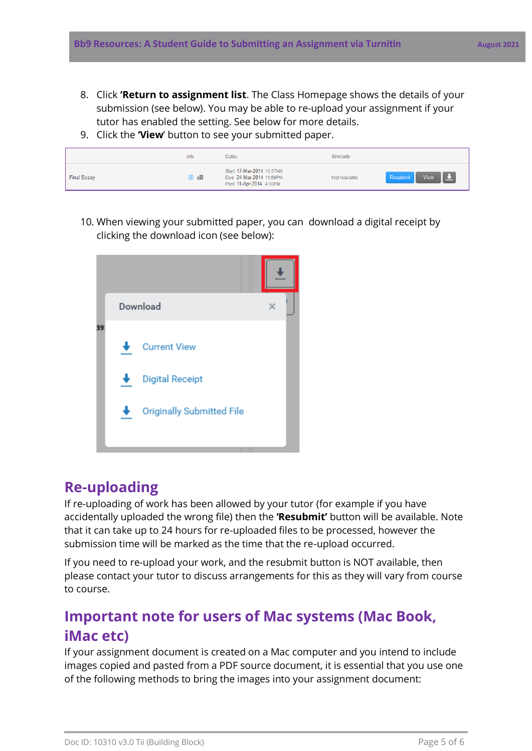- 8. Click **'Return to assignment list**. The Class Homepage shows the details of your submission (see below). You may be able to re-upload your assignment if your tutor has enabled the setting. See below for more details.
- 9. Click the **'View**' button to see your submitted paper.

|                    | Info               | <b>Dates</b>                                                                    | Similarity    |                  |
|--------------------|--------------------|---------------------------------------------------------------------------------|---------------|------------------|
| <b>Final Essay</b> | $\circledcirc$ and | Start 17-Mar-2014 10:57AM<br>Due 24-Mar-2014 11:59PM<br>Post 11-Apr-2014 4:00PM | Not Available | Resubmit<br>View |

10. When viewing your submitted paper, you can download a digital receipt by clicking the download icon (see below):



### **Re-uploading**

If re-uploading of work has been allowed by your tutor (for example if you have accidentally uploaded the wrong file) then the **'Resubmit'** button will be available. Note that it can take up to 24 hours for re-uploaded files to be processed, however the submission time will be marked as the time that the re-upload occurred.

If you need to re-upload your work, and the resubmit button is NOT available, then please contact your tutor to discuss arrangements for this as they will vary from course to course.

### **Important note for users of Mac systems (Mac Book, iMac etc)**

If your assignment document is created on a Mac computer and you intend to include images copied and pasted from a PDF source document, it is essential that you use one of the following methods to bring the images into your assignment document: